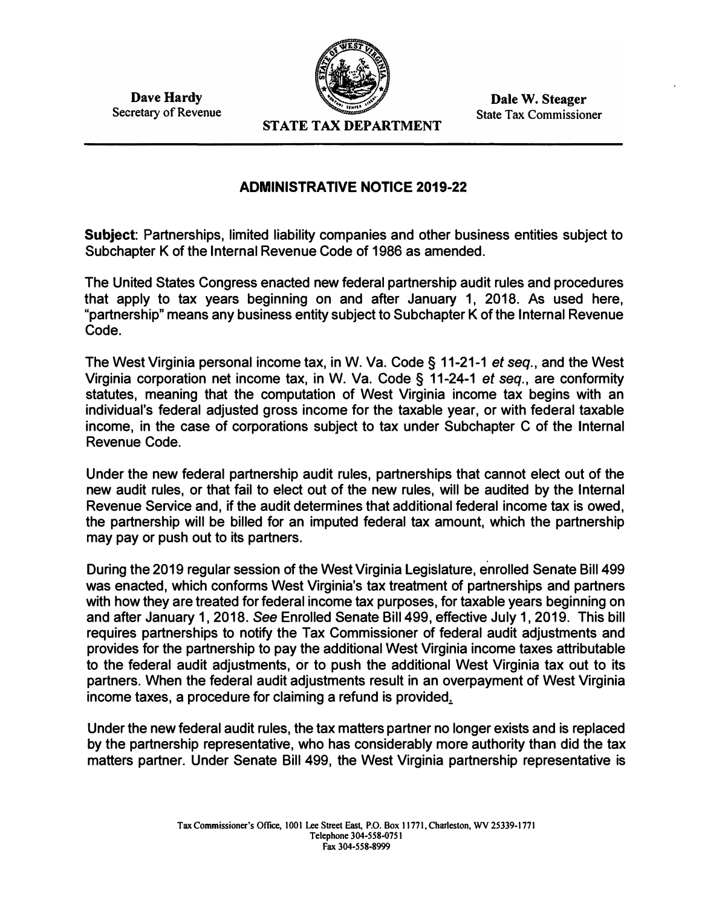**Dave Hardy Secretary of Revenue** 



**Dale W. Steager State Tax Commissioner** 

**STATE TAX DEPARTMENT** 

## **ADMINISTRATIVE NOTICE 2019-22**

**Subject: Partnerships, limited liability companies and other business entities subject to Subchapter K of the Internal Revenue Code of 1986 as amended.** 

**The United States Congress enacted new federal partnership audit rules and procedures that apply to tax years beginning on and after January 1, 2018. As used here, "partnership" means any business entity subject to Subchapter K of the Internal Revenue Code.** 

**The West Virginia personal income tax, in W. Va. Code§ 11-21-1** *et seq.,* **and the West Virginia corporation net income tax, in W. Va. Code § 11-24-1** *et seq.,* **are conformity statutes, meaning that the computation of West Virginia income tax begins with an individual's federal adjusted gross income for the taxable year, or with federal taxable income, in the case of corporations subject to tax under Subchapter C of the Internal Revenue Code.** 

**Under the new federal partnership audit rules, partnerships that cannot elect out of the new audit rules, or that fail to elect out of the new rules, will be audited by the Internal Revenue Service and, if the audit determines that additional federal income tax is owed, the partnership will be billed for an imputed federal tax amount, which the partnership may pay or push out to its partners.** 

**During the 2019 regular session of the West Virginia Legislature, enrolled Senate Bill 499 was enacted, which conforms West Virginia's tax treatment of partnerships and partners with how they are treated for federal income tax purposes, for taxable years beginning on and after January 1, 2018.** *See* **Enrolled Senate Bill 499, effective July 1, 2019. This bill requires partnerships to notify the Tax Commissioner of federal audit adjustments and provides for the partnership to pay the additional West Virginia income taxes attributable to the federal audit adjustments, or to push the additional West Virginia tax out to its partners. When the federal audit adjustments result in an overpayment of West Virginia income taxes, a procedure for claiming a refund is provided.:.** 

**Under the new federal audit rules, the tax matters partner no longer exists and is replaced by the partnership representative, who has considerably more authority than did the tax matters partner. Under Senate Bill 499, the West Virginia partnership representative is**